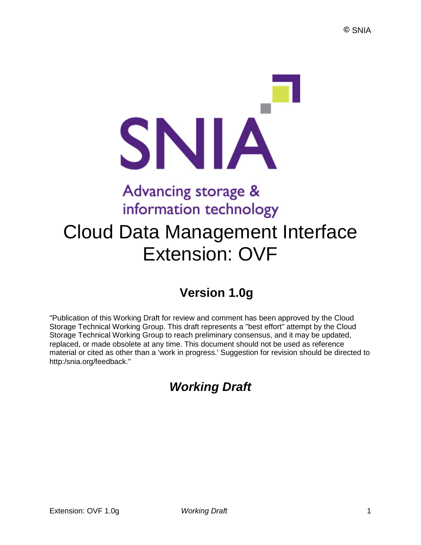# SNIA Advancing storage & information technology

## Cloud Data Management Interface Extension: OVF

## **Version 1.0g**

"Publication of this Working Draft for review and comment has been approved by the Cloud Storage Technical Working Group. This draft represents a "best effort" attempt by the Cloud Storage Technical Working Group to reach preliminary consensus, and it may be updated, replaced, or made obsolete at any time. This document should not be used as reference material or cited as other than a 'work in progress.' Suggestion for revision should be directed to http:/snia.org/feedback."

## *Working Draft*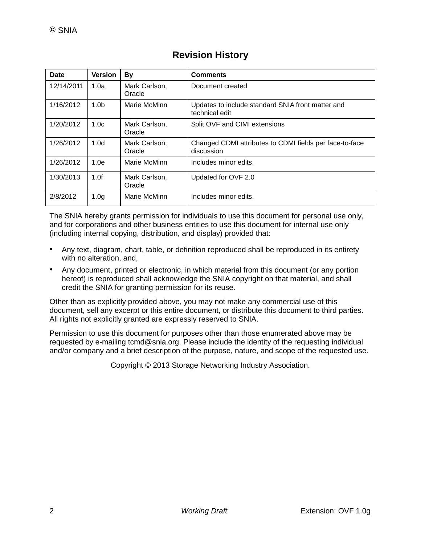| <b>Date</b> | <b>Version</b>   | By                      | <b>Comments</b>                                                       |
|-------------|------------------|-------------------------|-----------------------------------------------------------------------|
| 12/14/2011  | 1.0a             | Mark Carlson,<br>Oracle | Document created                                                      |
| 1/16/2012   | 1.0 <sub>b</sub> | Marie McMinn            | Updates to include standard SNIA front matter and<br>technical edit   |
| 1/20/2012   | 1.0 <sub>c</sub> | Mark Carlson,<br>Oracle | Split OVF and CIMI extensions                                         |
| 1/26/2012   | 1.0 <sub>d</sub> | Mark Carlson,<br>Oracle | Changed CDMI attributes to CDMI fields per face-to-face<br>discussion |
| 1/26/2012   | 1.0e             | Marie McMinn            | Includes minor edits.                                                 |
| 1/30/2013   | 1.0f             | Mark Carlson,<br>Oracle | Updated for OVF 2.0                                                   |
| 2/8/2012    | 1.0 <sub>g</sub> | Marie McMinn            | Includes minor edits.                                                 |

#### **Revision History**

The SNIA hereby grants permission for individuals to use this document for personal use only, and for corporations and other business entities to use this document for internal use only (including internal copying, distribution, and display) provided that:

- Any text, diagram, chart, table, or definition reproduced shall be reproduced in its entirety with no alteration, and,
- Any document, printed or electronic, in which material from this document (or any portion hereof) is reproduced shall acknowledge the SNIA copyright on that material, and shall credit the SNIA for granting permission for its reuse.

Other than as explicitly provided above, you may not make any commercial use of this document, sell any excerpt or this entire document, or distribute this document to third parties. All rights not explicitly granted are expressly reserved to SNIA.

Permission to use this document for purposes other than those enumerated above may be requested by e-mailing tcmd@snia.org. Please include the identity of the requesting individual and/or company and a brief description of the purpose, nature, and scope of the requested use.

Copyright © 2013 Storage Networking Industry Association.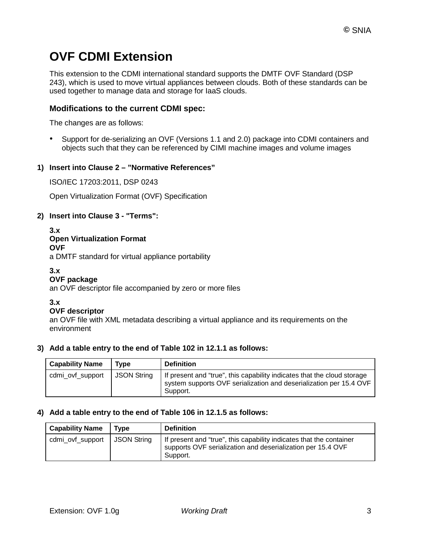### **OVF CDMI Extension**

This extension to the CDMI international standard supports the DMTF OVF Standard (DSP 243), which is used to move virtual appliances between clouds. Both of these standards can be used together to manage data and storage for IaaS clouds.

#### **Modifications to the current CDMI spec:**

The changes are as follows:

• Support for de-serializing an OVF (Versions 1.1 and 2.0) package into CDMI containers and objects such that they can be referenced by CIMI machine images and volume images

#### **1) Insert into Clause 2 – "Normative References"**

ISO/IEC 17203:2011, DSP 0243

Open Virtualization Format (OVF) Specification

#### **2) Insert into Clause 3 - "Terms":**

#### **3.x**

#### **Open Virtualization Format**

**OVF** a DMTF standard for virtual appliance portability

#### **3.x**

#### **OVF package**

an OVF descriptor file accompanied by zero or more files

**3.x**

#### **OVF descriptor**

an OVF file with XML metadata describing a virtual appliance and its requirements on the environment

#### **3) Add a table entry to the end of Table 102 in 12.1.1 as follows:**

| <b>Capability Name</b> | Tvpe        | <b>Definition</b>                                                                                                                                         |
|------------------------|-------------|-----------------------------------------------------------------------------------------------------------------------------------------------------------|
| cdmi_ovf_support       | JSON String | If present and "true", this capability indicates that the cloud storage<br>system supports OVF serialization and deserialization per 15.4 OVF<br>Support. |

#### **4) Add a table entry to the end of Table 106 in 12.1.5 as follows:**

| <b>Capability Name</b> | Type        | <b>Definition</b>                                                                                                                              |
|------------------------|-------------|------------------------------------------------------------------------------------------------------------------------------------------------|
| cdmi_ovf_support       | JSON String | If present and "true", this capability indicates that the container<br>supports OVF serialization and deserialization per 15.4 OVF<br>Support. |